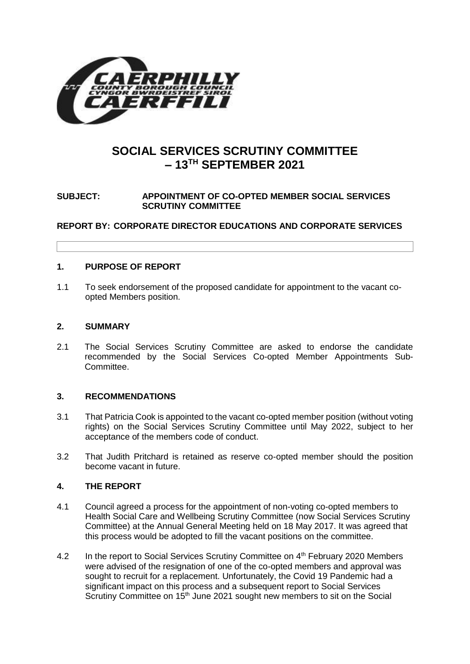

# **SOCIAL SERVICES SCRUTINY COMMITTEE – 13TH SEPTEMBER 2021**

### **SUBJECT: APPOINTMENT OF CO-OPTED MEMBER SOCIAL SERVICES SCRUTINY COMMITTEE**

**REPORT BY: CORPORATE DIRECTOR EDUCATIONS AND CORPORATE SERVICES**

#### **1. PURPOSE OF REPORT**

1.1 To seek endorsement of the proposed candidate for appointment to the vacant coopted Members position.

## **2. SUMMARY**

2.1 The Social Services Scrutiny Committee are asked to endorse the candidate recommended by the Social Services Co-opted Member Appointments Sub-Committee.

#### **3. RECOMMENDATIONS**

- 3.1 That Patricia Cook is appointed to the vacant co-opted member position (without voting rights) on the Social Services Scrutiny Committee until May 2022, subject to her acceptance of the members code of conduct.
- 3.2 That Judith Pritchard is retained as reserve co-opted member should the position become vacant in future.

#### **4. THE REPORT**

- 4.1 Council agreed a process for the appointment of non-voting co-opted members to Health Social Care and Wellbeing Scrutiny Committee (now Social Services Scrutiny Committee) at the Annual General Meeting held on 18 May 2017. It was agreed that this process would be adopted to fill the vacant positions on the committee.
- 4.2 In the report to Social Services Scrutiny Committee on 4<sup>th</sup> February 2020 Members were advised of the resignation of one of the co-opted members and approval was sought to recruit for a replacement. Unfortunately, the Covid 19 Pandemic had a significant impact on this process and a subsequent report to Social Services Scrutiny Committee on 15<sup>th</sup> June 2021 sought new members to sit on the Social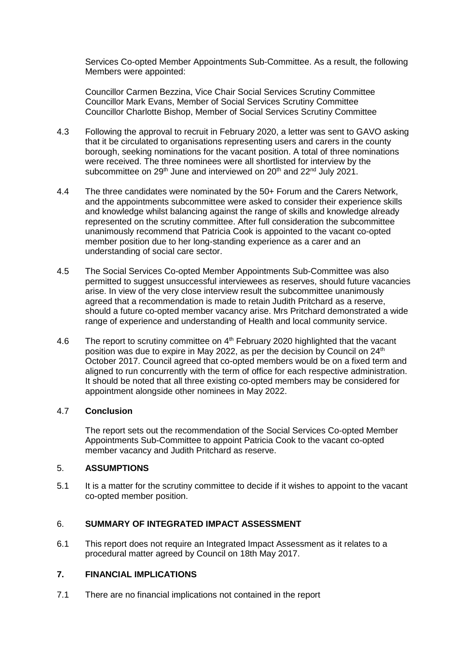Services Co-opted Member Appointments Sub-Committee. As a result, the following Members were appointed:

Councillor Carmen Bezzina, Vice Chair Social Services Scrutiny Committee Councillor Mark Evans, Member of Social Services Scrutiny Committee Councillor Charlotte Bishop, Member of Social Services Scrutiny Committee

- 4.3 Following the approval to recruit in February 2020, a letter was sent to GAVO asking that it be circulated to organisations representing users and carers in the county borough, seeking nominations for the vacant position. A total of three nominations were received. The three nominees were all shortlisted for interview by the subcommittee on  $29<sup>th</sup>$  June and interviewed on  $20<sup>th</sup>$  and  $22<sup>nd</sup>$  July  $2021$ .
- 4.4 The three candidates were nominated by the 50+ Forum and the Carers Network, and the appointments subcommittee were asked to consider their experience skills and knowledge whilst balancing against the range of skills and knowledge already represented on the scrutiny committee. After full consideration the subcommittee unanimously recommend that Patricia Cook is appointed to the vacant co-opted member position due to her long-standing experience as a carer and an understanding of social care sector.
- 4.5 The Social Services Co-opted Member Appointments Sub-Committee was also permitted to suggest unsuccessful interviewees as reserves, should future vacancies arise. In view of the very close interview result the subcommittee unanimously agreed that a recommendation is made to retain Judith Pritchard as a reserve, should a future co-opted member vacancy arise. Mrs Pritchard demonstrated a wide range of experience and understanding of Health and local community service.
- 4.6 The report to scrutiny committee on 4<sup>th</sup> February 2020 highlighted that the vacant position was due to expire in May 2022, as per the decision by Council on 24<sup>th</sup> October 2017. Council agreed that co-opted members would be on a fixed term and aligned to run concurrently with the term of office for each respective administration. It should be noted that all three existing co-opted members may be considered for appointment alongside other nominees in May 2022.

#### 4.7 **Conclusion**

The report sets out the recommendation of the Social Services Co-opted Member Appointments Sub-Committee to appoint Patricia Cook to the vacant co-opted member vacancy and Judith Pritchard as reserve.

#### 5. **ASSUMPTIONS**

5.1 It is a matter for the scrutiny committee to decide if it wishes to appoint to the vacant co-opted member position.

#### 6. **SUMMARY OF INTEGRATED IMPACT ASSESSMENT**

6.1 This report does not require an Integrated Impact Assessment as it relates to a procedural matter agreed by Council on 18th May 2017.

## **7. FINANCIAL IMPLICATIONS**

7.1 There are no financial implications not contained in the report